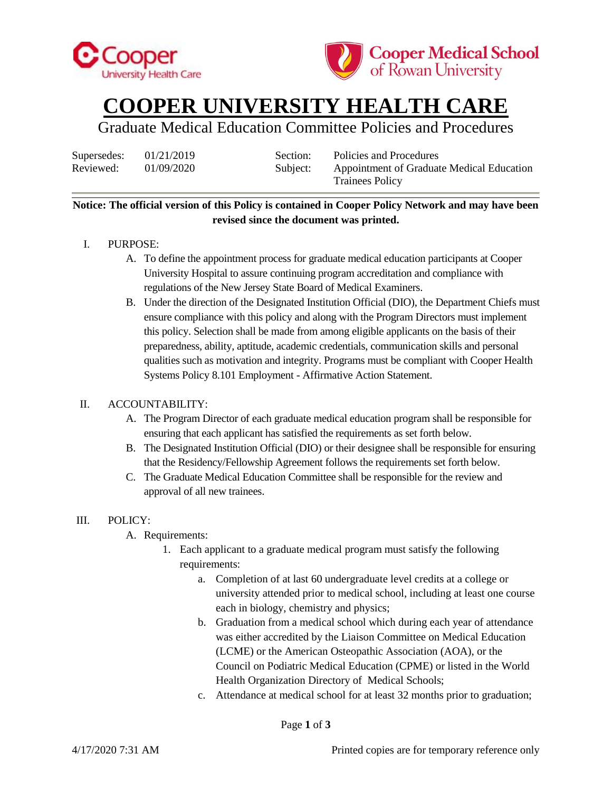



## **COOPER UNIVERSITY HEALTH CARE**

### Graduate Medical Education Committee Policies and Procedures

Supersedes:  $01/21/2019$  Section: Policies and Procedures

Reviewed: 01/09/2020 Subject: Appointment of Graduate Medical Education Trainees Policy

#### **Notice: The official version of this Policy is contained in Cooper Policy Network and may have been revised since the document was printed.**

#### I. PURPOSE:

- A. To define the appointment process for graduate medical education participants at Cooper University Hospital to assure continuing program accreditation and compliance with regulations of the New Jersey State Board of Medical Examiners.
- B. Under the direction of the Designated Institution Official (DIO), the Department Chiefs must ensure compliance with this policy and along with the Program Directors must implement this policy. Selection shall be made from among eligible applicants on the basis of their preparedness, ability, aptitude, academic credentials, communication skills and personal qualities such as motivation and integrity. Programs must be compliant with Cooper Health Systems Policy 8.101 Employment - Affirmative Action Statement.

#### II. ACCOUNTABILITY:

- A. The Program Director of each graduate medical education program shall be responsible for ensuring that each applicant has satisfied the requirements as set forth below.
- B. The Designated Institution Official (DIO) or their designee shall be responsible for ensuring that the Residency/Fellowship Agreement follows the requirements set forth below.
- C. The Graduate Medical Education Committee shall be responsible for the review and approval of all new trainees.

#### III. POLICY:

- A. Requirements:
	- 1. Each applicant to a graduate medical program must satisfy the following requirements:
		- a. Completion of at last 60 undergraduate level credits at a college or university attended prior to medical school, including at least one course each in biology, chemistry and physics;
		- b. Graduation from a medical school which during each year of attendance was either accredited by the Liaison Committee on Medical Education (LCME) or the American Osteopathic Association (AOA), or the Council on Podiatric Medical Education (CPME) or listed in the World Health Organization Directory of Medical Schools;
		- c. Attendance at medical school for at least 32 months prior to graduation;

Page **1** of **3**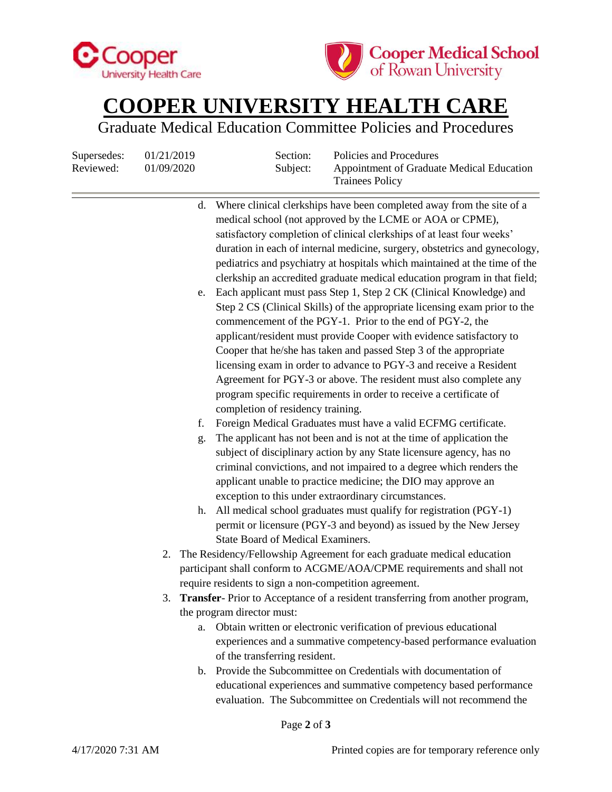



# **COOPER UNIVERSITY HEALTH CARE**

Graduate Medical Education Committee Policies and Procedures

Supersedes:  $01/21/2019$  Section: Policies and Procedures

| Reviewed: | 01/09/2020 |                                                                                  | Subject:<br>Appointment of Graduate Medical Education<br><b>Trainees Policy</b>                                                    |  |
|-----------|------------|----------------------------------------------------------------------------------|------------------------------------------------------------------------------------------------------------------------------------|--|
|           |            | d.                                                                               | Where clinical clerkships have been completed away from the site of a<br>medical school (not approved by the LCME or AOA or CPME), |  |
|           |            |                                                                                  | satisfactory completion of clinical clerkships of at least four weeks'                                                             |  |
|           |            |                                                                                  | duration in each of internal medicine, surgery, obstetrics and gynecology,                                                         |  |
|           |            |                                                                                  | pediatrics and psychiatry at hospitals which maintained at the time of the                                                         |  |
|           |            |                                                                                  | clerkship an accredited graduate medical education program in that field;                                                          |  |
|           |            | e.                                                                               | Each applicant must pass Step 1, Step 2 CK (Clinical Knowledge) and                                                                |  |
|           |            |                                                                                  | Step 2 CS (Clinical Skills) of the appropriate licensing exam prior to the                                                         |  |
|           |            |                                                                                  | commencement of the PGY-1. Prior to the end of PGY-2, the                                                                          |  |
|           |            |                                                                                  | applicant/resident must provide Cooper with evidence satisfactory to                                                               |  |
|           |            |                                                                                  | Cooper that he/she has taken and passed Step 3 of the appropriate                                                                  |  |
|           |            |                                                                                  | licensing exam in order to advance to PGY-3 and receive a Resident                                                                 |  |
|           |            |                                                                                  | Agreement for PGY-3 or above. The resident must also complete any                                                                  |  |
|           |            |                                                                                  | program specific requirements in order to receive a certificate of                                                                 |  |
|           |            |                                                                                  | completion of residency training.                                                                                                  |  |
|           |            | f.                                                                               | Foreign Medical Graduates must have a valid ECFMG certificate.                                                                     |  |
|           |            | g.                                                                               | The applicant has not been and is not at the time of application the                                                               |  |
|           |            |                                                                                  | subject of disciplinary action by any State licensure agency, has no                                                               |  |
|           |            |                                                                                  | criminal convictions, and not impaired to a degree which renders the                                                               |  |
|           |            |                                                                                  | applicant unable to practice medicine; the DIO may approve an                                                                      |  |
|           |            |                                                                                  | exception to this under extraordinary circumstances.                                                                               |  |
|           |            | h.                                                                               | All medical school graduates must qualify for registration (PGY-1)                                                                 |  |
|           |            |                                                                                  | permit or licensure (PGY-3 and beyond) as issued by the New Jersey                                                                 |  |
|           |            |                                                                                  | State Board of Medical Examiners.                                                                                                  |  |
|           | 2.         | The Residency/Fellowship Agreement for each graduate medical education           |                                                                                                                                    |  |
|           |            |                                                                                  | participant shall conform to ACGME/AOA/CPME requirements and shall not                                                             |  |
|           |            |                                                                                  | require residents to sign a non-competition agreement.                                                                             |  |
|           |            | 3. Transfer-Prior to Acceptance of a resident transferring from another program, |                                                                                                                                    |  |
|           |            | the program director must:                                                       |                                                                                                                                    |  |
|           |            | a.                                                                               | Obtain written or electronic verification of previous educational                                                                  |  |
|           |            |                                                                                  | experiences and a summative competency-based performance evaluation                                                                |  |
|           |            |                                                                                  | of the transferring resident.                                                                                                      |  |
|           |            | $\mathbf{b}$ .                                                                   | Provide the Subcommittee on Credentials with documentation of                                                                      |  |
|           |            |                                                                                  | educational experiences and summative competency based performance                                                                 |  |
|           |            |                                                                                  | evaluation. The Subcommittee on Credentials will not recommend the                                                                 |  |
|           |            |                                                                                  |                                                                                                                                    |  |